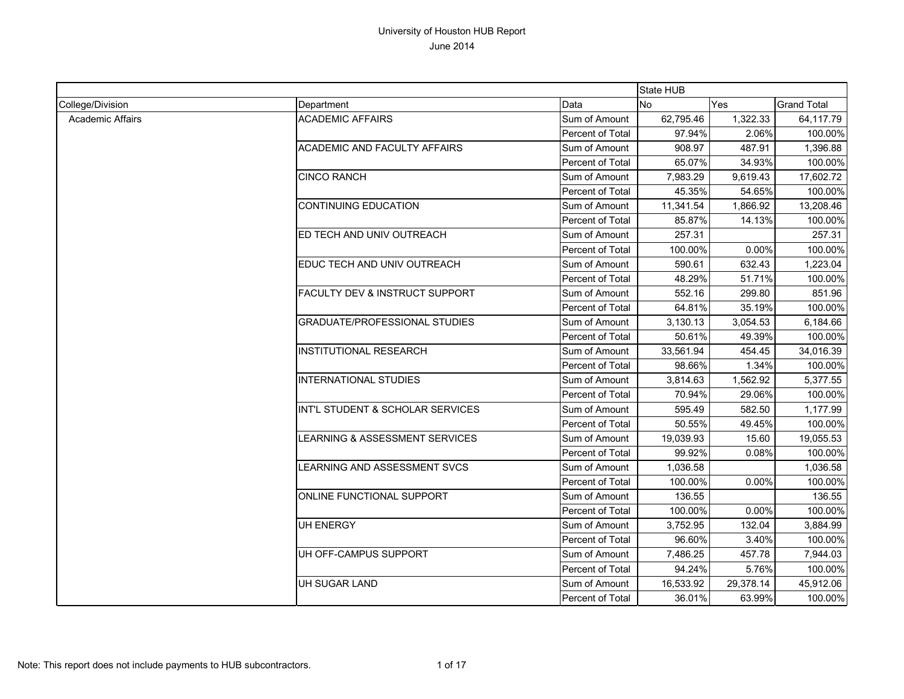|                         |                                      |                  | <b>State HUB</b> |           |                    |
|-------------------------|--------------------------------------|------------------|------------------|-----------|--------------------|
| College/Division        | Department                           | Data             | <b>No</b>        | Yes       | <b>Grand Total</b> |
| <b>Academic Affairs</b> | <b>ACADEMIC AFFAIRS</b>              | Sum of Amount    | 62,795.46        | 1,322.33  | 64,117.79          |
|                         |                                      | Percent of Total | 97.94%           | 2.06%     | 100.00%            |
|                         | <b>ACADEMIC AND FACULTY AFFAIRS</b>  | Sum of Amount    | 908.97           | 487.91    | 1,396.88           |
|                         |                                      | Percent of Total | 65.07%           | 34.93%    | 100.00%            |
|                         | <b>CINCO RANCH</b>                   | Sum of Amount    | 7,983.29         | 9,619.43  | 17,602.72          |
|                         |                                      | Percent of Total | 45.35%           | 54.65%    | 100.00%            |
|                         | <b>CONTINUING EDUCATION</b>          | Sum of Amount    | 11,341.54        | 1,866.92  | 13,208.46          |
|                         |                                      | Percent of Total | 85.87%           | 14.13%    | 100.00%            |
|                         | ED TECH AND UNIV OUTREACH            | Sum of Amount    | 257.31           |           | 257.31             |
|                         |                                      | Percent of Total | 100.00%          | 0.00%     | 100.00%            |
|                         | EDUC TECH AND UNIV OUTREACH          | Sum of Amount    | 590.61           | 632.43    | 1,223.04           |
|                         |                                      | Percent of Total | 48.29%           | 51.71%    | 100.00%            |
|                         | FACULTY DEV & INSTRUCT SUPPORT       | Sum of Amount    | 552.16           | 299.80    | 851.96             |
|                         |                                      | Percent of Total | 64.81%           | 35.19%    | 100.00%            |
|                         | <b>GRADUATE/PROFESSIONAL STUDIES</b> | Sum of Amount    | 3,130.13         | 3,054.53  | 6,184.66           |
|                         |                                      | Percent of Total | 50.61%           | 49.39%    | 100.00%            |
|                         | <b>INSTITUTIONAL RESEARCH</b>        | Sum of Amount    | 33,561.94        | 454.45    | 34,016.39          |
|                         |                                      | Percent of Total | 98.66%           | 1.34%     | 100.00%            |
|                         | INTERNATIONAL STUDIES                | Sum of Amount    | 3,814.63         | 1,562.92  | 5,377.55           |
|                         |                                      | Percent of Total | 70.94%           | 29.06%    | 100.00%            |
|                         | INT'L STUDENT & SCHOLAR SERVICES     | Sum of Amount    | 595.49           | 582.50    | 1,177.99           |
|                         |                                      | Percent of Total | 50.55%           | 49.45%    | 100.00%            |
|                         | LEARNING & ASSESSMENT SERVICES       | Sum of Amount    | 19,039.93        | 15.60     | 19,055.53          |
|                         |                                      | Percent of Total | 99.92%           | 0.08%     | 100.00%            |
|                         | LEARNING AND ASSESSMENT SVCS         | Sum of Amount    | 1,036.58         |           | 1,036.58           |
|                         |                                      | Percent of Total | 100.00%          | 0.00%     | 100.00%            |
|                         | ONLINE FUNCTIONAL SUPPORT            | Sum of Amount    | 136.55           |           | 136.55             |
|                         |                                      | Percent of Total | 100.00%          | 0.00%     | 100.00%            |
|                         | <b>UH ENERGY</b>                     | Sum of Amount    | 3,752.95         | 132.04    | 3,884.99           |
|                         |                                      | Percent of Total | 96.60%           | 3.40%     | 100.00%            |
|                         | UH OFF-CAMPUS SUPPORT                | Sum of Amount    | 7,486.25         | 457.78    | 7,944.03           |
|                         |                                      | Percent of Total | 94.24%           | 5.76%     | 100.00%            |
|                         | UH SUGAR LAND                        | Sum of Amount    | 16,533.92        | 29,378.14 | 45,912.06          |
|                         |                                      | Percent of Total | 36.01%           | 63.99%    | 100.00%            |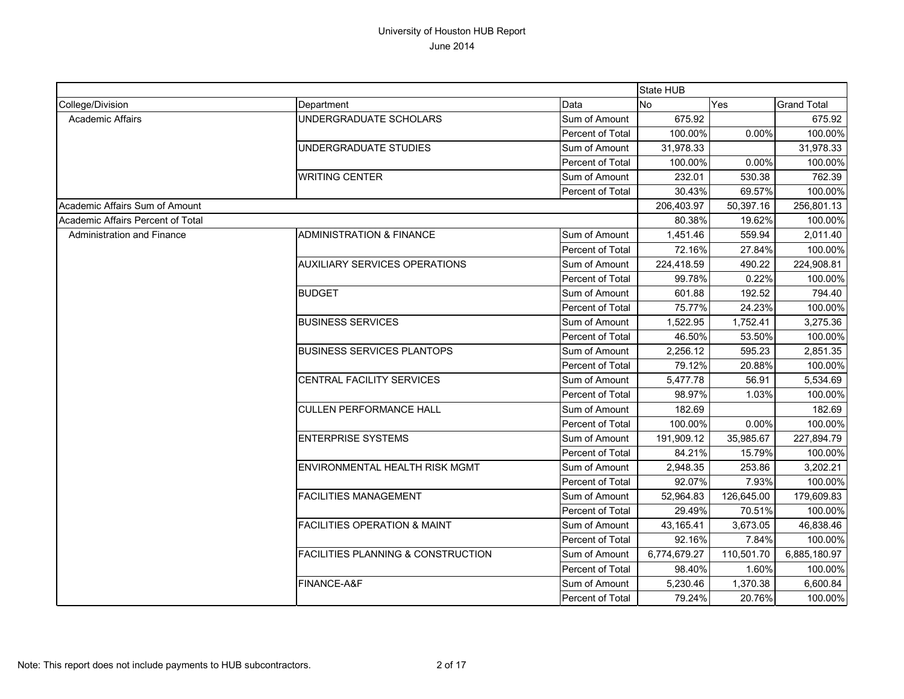|                                   |                                               |                         | <b>State HUB</b> |            |                    |
|-----------------------------------|-----------------------------------------------|-------------------------|------------------|------------|--------------------|
| College/Division                  | Department                                    | Data                    | No               | Yes        | <b>Grand Total</b> |
| Academic Affairs                  | UNDERGRADUATE SCHOLARS                        | Sum of Amount           | 675.92           |            | 675.92             |
|                                   |                                               | Percent of Total        | 100.00%          | 0.00%      | 100.00%            |
|                                   | UNDERGRADUATE STUDIES                         | Sum of Amount           | 31,978.33        |            | 31,978.33          |
|                                   |                                               | Percent of Total        | 100.00%          | 0.00%      | 100.00%            |
|                                   | <b>WRITING CENTER</b>                         | Sum of Amount           | 232.01           | 530.38     | 762.39             |
|                                   |                                               | Percent of Total        | 30.43%           | 69.57%     | 100.00%            |
| Academic Affairs Sum of Amount    |                                               |                         | 206,403.97       | 50,397.16  | 256,801.13         |
| Academic Affairs Percent of Total |                                               |                         | 80.38%           | 19.62%     | 100.00%            |
| Administration and Finance        | <b>ADMINISTRATION &amp; FINANCE</b>           | Sum of Amount           | 1,451.46         | 559.94     | 2,011.40           |
|                                   |                                               | Percent of Total        | 72.16%           | 27.84%     | 100.00%            |
|                                   | <b>AUXILIARY SERVICES OPERATIONS</b>          | Sum of Amount           | 224,418.59       | 490.22     | 224,908.81         |
|                                   |                                               | Percent of Total        | 99.78%           | 0.22%      | 100.00%            |
|                                   | <b>BUDGET</b>                                 | Sum of Amount           | 601.88           | 192.52     | 794.40             |
|                                   |                                               | Percent of Total        | 75.77%           | 24.23%     | 100.00%            |
|                                   | <b>BUSINESS SERVICES</b>                      | Sum of Amount           | 1,522.95         | 1,752.41   | 3,275.36           |
|                                   |                                               | Percent of Total        | 46.50%           | 53.50%     | 100.00%            |
|                                   | <b>BUSINESS SERVICES PLANTOPS</b>             | Sum of Amount           | 2,256.12         | 595.23     | 2,851.35           |
|                                   |                                               | Percent of Total        | 79.12%           | 20.88%     | 100.00%            |
|                                   | CENTRAL FACILITY SERVICES                     | Sum of Amount           | 5,477.78         | 56.91      | 5,534.69           |
|                                   |                                               | Percent of Total        | 98.97%           | 1.03%      | 100.00%            |
|                                   | <b>CULLEN PERFORMANCE HALL</b>                | Sum of Amount           | 182.69           |            | 182.69             |
|                                   |                                               | <b>Percent of Total</b> | 100.00%          | 0.00%      | 100.00%            |
|                                   | <b>ENTERPRISE SYSTEMS</b>                     | Sum of Amount           | 191,909.12       | 35,985.67  | 227,894.79         |
|                                   |                                               | <b>Percent of Total</b> | 84.21%           | 15.79%     | 100.00%            |
|                                   | <b>ENVIRONMENTAL HEALTH RISK MGMT</b>         | Sum of Amount           | 2,948.35         | 253.86     | 3,202.21           |
|                                   |                                               | Percent of Total        | 92.07%           | 7.93%      | 100.00%            |
|                                   | <b>FACILITIES MANAGEMENT</b>                  | Sum of Amount           | 52,964.83        | 126,645.00 | 179,609.83         |
|                                   |                                               | Percent of Total        | 29.49%           | 70.51%     | 100.00%            |
|                                   | <b>FACILITIES OPERATION &amp; MAINT</b>       | Sum of Amount           | 43,165.41        | 3,673.05   | 46,838.46          |
|                                   |                                               | Percent of Total        | 92.16%           | 7.84%      | 100.00%            |
|                                   | <b>FACILITIES PLANNING &amp; CONSTRUCTION</b> | Sum of Amount           | 6,774,679.27     | 110,501.70 | 6,885,180.97       |
|                                   |                                               | Percent of Total        | 98.40%           | 1.60%      | 100.00%            |
|                                   | FINANCE-A&F                                   | Sum of Amount           | 5,230.46         | 1,370.38   | 6,600.84           |
|                                   |                                               | Percent of Total        | 79.24%           | 20.76%     | 100.00%            |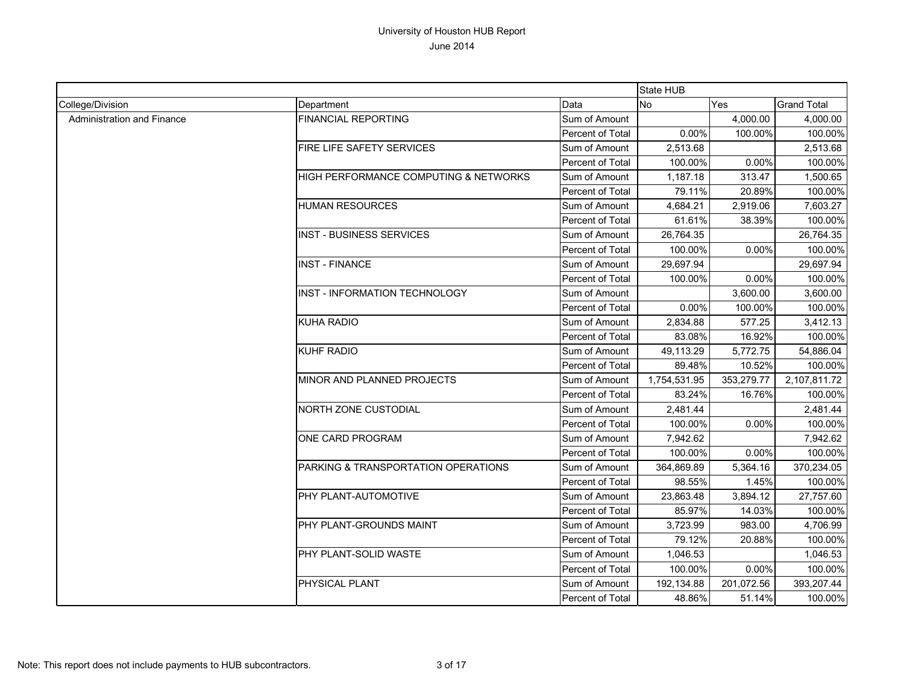|                            |                                       |                  | State HUB    |            |                    |
|----------------------------|---------------------------------------|------------------|--------------|------------|--------------------|
| College/Division           | Department                            | Data             | No           | Yes        | <b>Grand Total</b> |
| Administration and Finance | <b>FINANCIAL REPORTING</b>            | Sum of Amount    |              | 4,000.00   | 4,000.00           |
|                            |                                       | Percent of Total | 0.00%        | 100.00%    | 100.00%            |
|                            | FIRE LIFE SAFETY SERVICES             | Sum of Amount    | 2,513.68     |            | 2,513.68           |
|                            |                                       | Percent of Total | 100.00%      | 0.00%      | 100.00%            |
|                            | HIGH PERFORMANCE COMPUTING & NETWORKS | Sum of Amount    | 1,187.18     | 313.47     | 1,500.65           |
|                            |                                       | Percent of Total | 79.11%       | 20.89%     | 100.00%            |
|                            | <b>HUMAN RESOURCES</b>                | Sum of Amount    | 4,684.21     | 2,919.06   | 7,603.27           |
|                            |                                       | Percent of Total | 61.61%       | 38.39%     | 100.00%            |
|                            | <b>INST - BUSINESS SERVICES</b>       | Sum of Amount    | 26,764.35    |            | 26,764.35          |
|                            |                                       | Percent of Total | 100.00%      | 0.00%      | 100.00%            |
|                            | <b>INST - FINANCE</b>                 | Sum of Amount    | 29,697.94    |            | 29,697.94          |
|                            |                                       | Percent of Total | 100.00%      | 0.00%      | 100.00%            |
|                            | <b>INST - INFORMATION TECHNOLOGY</b>  | Sum of Amount    |              | 3,600.00   | 3,600.00           |
|                            |                                       | Percent of Total | 0.00%        | 100.00%    | 100.00%            |
|                            | <b>KUHA RADIO</b>                     | Sum of Amount    | 2,834.88     | 577.25     | 3,412.13           |
|                            |                                       | Percent of Total | 83.08%       | 16.92%     | 100.00%            |
|                            | <b>KUHF RADIO</b>                     | Sum of Amount    | 49,113.29    | 5,772.75   | 54,886.04          |
|                            |                                       | Percent of Total | 89.48%       | 10.52%     | 100.00%            |
|                            | MINOR AND PLANNED PROJECTS            | Sum of Amount    | 1,754,531.95 | 353,279.77 | 2,107,811.72       |
|                            |                                       | Percent of Total | 83.24%       | 16.76%     | 100.00%            |
|                            | NORTH ZONE CUSTODIAL                  | Sum of Amount    | 2,481.44     |            | 2,481.44           |
|                            |                                       | Percent of Total | 100.00%      | 0.00%      | 100.00%            |
|                            | ONE CARD PROGRAM                      | Sum of Amount    | 7,942.62     |            | 7,942.62           |
|                            |                                       | Percent of Total | 100.00%      | 0.00%      | 100.00%            |
|                            | PARKING & TRANSPORTATION OPERATIONS   | Sum of Amount    | 364,869.89   | 5,364.16   | 370,234.05         |
|                            |                                       | Percent of Total | 98.55%       | 1.45%      | 100.00%            |
|                            | PHY PLANT-AUTOMOTIVE                  | Sum of Amount    | 23,863.48    | 3,894.12   | 27,757.60          |
|                            |                                       | Percent of Total | 85.97%       | 14.03%     | 100.00%            |
|                            | PHY PLANT-GROUNDS MAINT               | Sum of Amount    | 3,723.99     | 983.00     | 4,706.99           |
|                            |                                       | Percent of Total | 79.12%       | 20.88%     | 100.00%            |
|                            | PHY PLANT-SOLID WASTE                 | Sum of Amount    | 1,046.53     |            | 1,046.53           |
|                            |                                       | Percent of Total | 100.00%      | 0.00%      | 100.00%            |
|                            | PHYSICAL PLANT                        | Sum of Amount    | 192,134.88   | 201,072.56 | 393,207.44         |
|                            |                                       | Percent of Total | 48.86%       | 51.14%     | 100.00%            |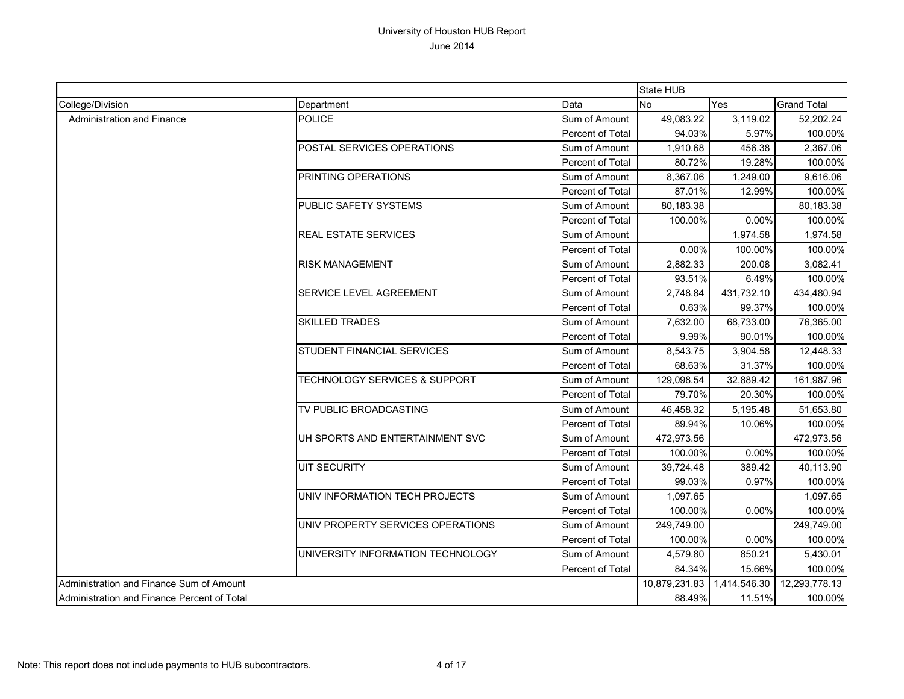|                                             |                                          |                  | State HUB     |              |                    |
|---------------------------------------------|------------------------------------------|------------------|---------------|--------------|--------------------|
| College/Division                            | Department                               | Data             | <b>No</b>     | Yes          | <b>Grand Total</b> |
| Administration and Finance                  | <b>POLICE</b>                            | Sum of Amount    | 49,083.22     | 3.119.02     | 52,202.24          |
|                                             |                                          | Percent of Total | 94.03%        | 5.97%        | 100.00%            |
|                                             | POSTAL SERVICES OPERATIONS               | Sum of Amount    | 1,910.68      | 456.38       | 2,367.06           |
|                                             |                                          | Percent of Total | 80.72%        | 19.28%       | 100.00%            |
|                                             | <b>PRINTING OPERATIONS</b>               | Sum of Amount    | 8,367.06      | 1,249.00     | 9,616.06           |
|                                             |                                          | Percent of Total | 87.01%        | 12.99%       | 100.00%            |
|                                             | PUBLIC SAFETY SYSTEMS                    | Sum of Amount    | 80,183.38     |              | 80,183.38          |
|                                             |                                          | Percent of Total | 100.00%       | 0.00%        | 100.00%            |
|                                             | <b>REAL ESTATE SERVICES</b>              | Sum of Amount    |               | 1,974.58     | 1,974.58           |
|                                             |                                          | Percent of Total | 0.00%         | 100.00%      | 100.00%            |
|                                             | <b>RISK MANAGEMENT</b>                   | Sum of Amount    | 2,882.33      | 200.08       | 3,082.41           |
|                                             |                                          | Percent of Total | 93.51%        | 6.49%        | 100.00%            |
|                                             | SERVICE LEVEL AGREEMENT                  | Sum of Amount    | 2,748.84      | 431,732.10   | 434,480.94         |
|                                             |                                          | Percent of Total | 0.63%         | 99.37%       | 100.00%            |
|                                             | <b>SKILLED TRADES</b>                    | Sum of Amount    | 7,632.00      | 68,733.00    | 76,365.00          |
|                                             |                                          | Percent of Total | 9.99%         | 90.01%       | 100.00%            |
|                                             | STUDENT FINANCIAL SERVICES               | Sum of Amount    | 8.543.75      | 3,904.58     | 12,448.33          |
|                                             |                                          | Percent of Total | 68.63%        | 31.37%       | 100.00%            |
|                                             | <b>TECHNOLOGY SERVICES &amp; SUPPORT</b> | Sum of Amount    | 129,098.54    | 32,889.42    | 161,987.96         |
|                                             |                                          | Percent of Total | 79.70%        | 20.30%       | 100.00%            |
|                                             | TV PUBLIC BROADCASTING                   | Sum of Amount    | 46,458.32     | 5,195.48     | 51,653.80          |
|                                             |                                          | Percent of Total | 89.94%        | 10.06%       | 100.00%            |
|                                             | UH SPORTS AND ENTERTAINMENT SVC          | Sum of Amount    | 472,973.56    |              | 472,973.56         |
|                                             |                                          | Percent of Total | 100.00%       | 0.00%        | 100.00%            |
|                                             | <b>UIT SECURITY</b>                      | Sum of Amount    | 39,724.48     | 389.42       | 40,113.90          |
|                                             |                                          | Percent of Total | 99.03%        | 0.97%        | 100.00%            |
|                                             | UNIV INFORMATION TECH PROJECTS           | Sum of Amount    | 1,097.65      |              | 1,097.65           |
|                                             |                                          | Percent of Total | 100.00%       | 0.00%        | 100.00%            |
|                                             | UNIV PROPERTY SERVICES OPERATIONS        | Sum of Amount    | 249,749.00    |              | 249,749.00         |
|                                             |                                          | Percent of Total | 100.00%       | $0.00\%$     | 100.00%            |
|                                             | UNIVERSITY INFORMATION TECHNOLOGY        | Sum of Amount    | 4,579.80      | 850.21       | 5,430.01           |
|                                             |                                          | Percent of Total | 84.34%        | 15.66%       | 100.00%            |
| Administration and Finance Sum of Amount    |                                          |                  | 10,879,231.83 | 1,414,546.30 | 12,293,778.13      |
| Administration and Finance Percent of Total |                                          |                  | 88.49%        | 11.51%       | 100.00%            |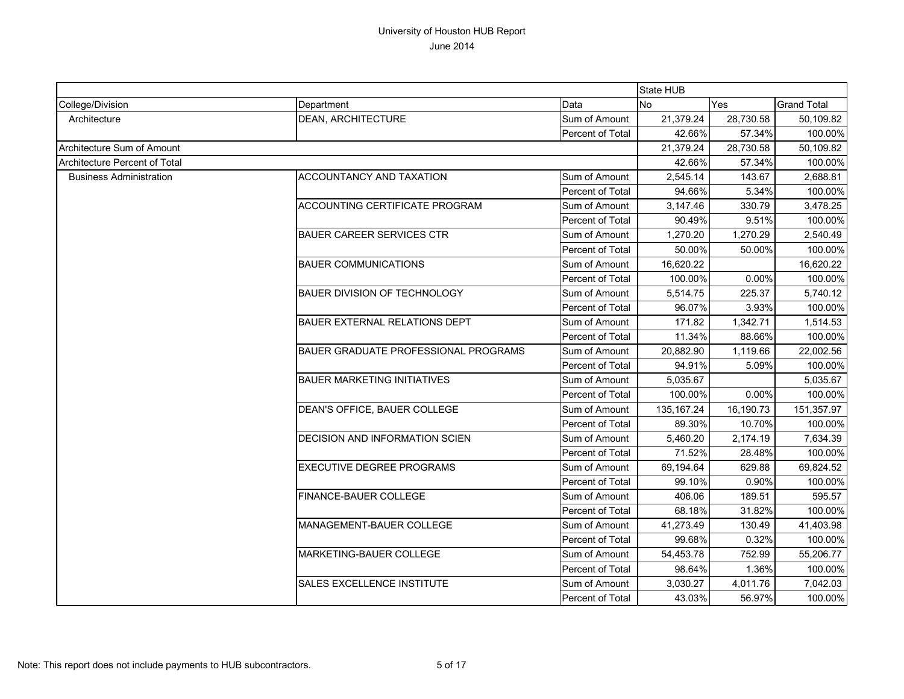|                                |                                      |                         | <b>State HUB</b> |           |                    |
|--------------------------------|--------------------------------------|-------------------------|------------------|-----------|--------------------|
| College/Division               | Department                           | Data                    | <b>No</b>        | Yes       | <b>Grand Total</b> |
| Architecture                   | <b>DEAN, ARCHITECTURE</b>            | Sum of Amount           | 21,379.24        | 28,730.58 | 50,109.82          |
|                                |                                      | Percent of Total        | 42.66%           | 57.34%    | 100.00%            |
| Architecture Sum of Amount     |                                      |                         | 21,379.24        | 28,730.58 | 50,109.82          |
| Architecture Percent of Total  |                                      |                         | 42.66%           | 57.34%    | 100.00%            |
| <b>Business Administration</b> | <b>ACCOUNTANCY AND TAXATION</b>      | Sum of Amount           | 2,545.14         | 143.67    | 2,688.81           |
|                                |                                      | <b>Percent of Total</b> | 94.66%           | 5.34%     | 100.00%            |
|                                | ACCOUNTING CERTIFICATE PROGRAM       | Sum of Amount           | 3,147.46         | 330.79    | 3,478.25           |
|                                |                                      | Percent of Total        | 90.49%           | 9.51%     | 100.00%            |
|                                | <b>BAUER CAREER SERVICES CTR</b>     | Sum of Amount           | 1,270.20         | 1,270.29  | 2,540.49           |
|                                |                                      | Percent of Total        | 50.00%           | 50.00%    | 100.00%            |
|                                | <b>BAUER COMMUNICATIONS</b>          | Sum of Amount           | 16,620.22        |           | 16,620.22          |
|                                |                                      | Percent of Total        | 100.00%          | 0.00%     | 100.00%            |
|                                | <b>BAUER DIVISION OF TECHNOLOGY</b>  | Sum of Amount           | 5,514.75         | 225.37    | 5,740.12           |
|                                |                                      | Percent of Total        | 96.07%           | 3.93%     | 100.00%            |
|                                | BAUER EXTERNAL RELATIONS DEPT        | Sum of Amount           | 171.82           | 1,342.71  | 1,514.53           |
|                                |                                      | Percent of Total        | 11.34%           | 88.66%    | 100.00%            |
|                                | BAUER GRADUATE PROFESSIONAL PROGRAMS | Sum of Amount           | 20,882.90        | 1,119.66  | 22,002.56          |
|                                |                                      | Percent of Total        | 94.91%           | 5.09%     | 100.00%            |
|                                | <b>BAUER MARKETING INITIATIVES</b>   | Sum of Amount           | 5,035.67         |           | 5,035.67           |
|                                |                                      | Percent of Total        | 100.00%          | 0.00%     | 100.00%            |
|                                | DEAN'S OFFICE, BAUER COLLEGE         | Sum of Amount           | 135, 167.24      | 16,190.73 | 151,357.97         |
|                                |                                      | <b>Percent of Total</b> | 89.30%           | 10.70%    | 100.00%            |
|                                | DECISION AND INFORMATION SCIEN       | Sum of Amount           | 5,460.20         | 2,174.19  | 7,634.39           |
|                                |                                      | Percent of Total        | 71.52%           | 28.48%    | 100.00%            |
|                                | <b>EXECUTIVE DEGREE PROGRAMS</b>     | Sum of Amount           | 69,194.64        | 629.88    | 69,824.52          |
|                                |                                      | Percent of Total        | 99.10%           | 0.90%     | 100.00%            |
|                                | FINANCE-BAUER COLLEGE                | Sum of Amount           | 406.06           | 189.51    | 595.57             |
|                                |                                      | Percent of Total        | 68.18%           | 31.82%    | 100.00%            |
|                                | <b>MANAGEMENT-BAUER COLLEGE</b>      | Sum of Amount           | 41,273.49        | 130.49    | 41,403.98          |
|                                |                                      | Percent of Total        | 99.68%           | 0.32%     | 100.00%            |
|                                | MARKETING-BAUER COLLEGE              | Sum of Amount           | 54,453.78        | 752.99    | 55,206.77          |
|                                |                                      | Percent of Total        | 98.64%           | 1.36%     | 100.00%            |
|                                | <b>SALES EXCELLENCE INSTITUTE</b>    | Sum of Amount           | 3,030.27         | 4,011.76  | 7,042.03           |
|                                |                                      | Percent of Total        | 43.03%           | 56.97%    | 100.00%            |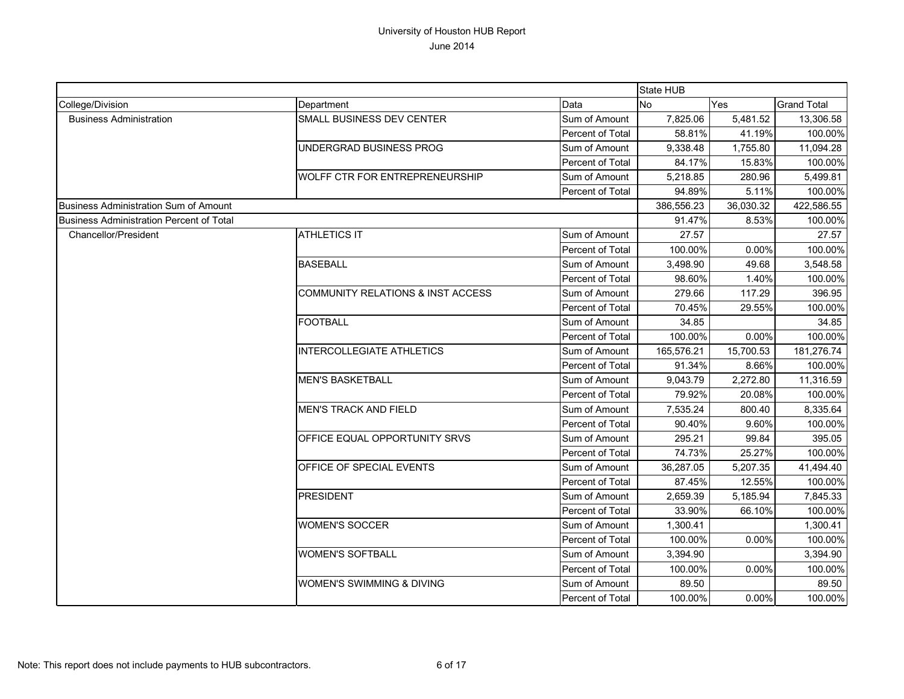|                                          |                                   |                         | <b>State HUB</b> |           |                    |
|------------------------------------------|-----------------------------------|-------------------------|------------------|-----------|--------------------|
| College/Division                         | Department                        | Data                    | <b>No</b>        | Yes       | <b>Grand Total</b> |
| <b>Business Administration</b>           | SMALL BUSINESS DEV CENTER         | Sum of Amount           | 7,825.06         | 5,481.52  | 13,306.58          |
|                                          |                                   | Percent of Total        | 58.81%           | 41.19%    | 100.00%            |
|                                          | UNDERGRAD BUSINESS PROG           | Sum of Amount           | 9,338.48         | 1,755.80  | 11,094.28          |
|                                          |                                   | Percent of Total        | 84.17%           | 15.83%    | 100.00%            |
|                                          | WOLFF CTR FOR ENTREPRENEURSHIP    | Sum of Amount           | 5,218.85         | 280.96    | 5,499.81           |
|                                          |                                   | <b>Percent of Total</b> | 94.89%           | 5.11%     | 100.00%            |
| Business Administration Sum of Amount    |                                   |                         | 386,556.23       | 36,030.32 | 422,586.55         |
| Business Administration Percent of Total |                                   |                         | 91.47%           | 8.53%     | 100.00%            |
| Chancellor/President                     | <b>ATHLETICS IT</b>               | Sum of Amount           | 27.57            |           | 27.57              |
|                                          |                                   | Percent of Total        | 100.00%          | 0.00%     | 100.00%            |
|                                          | <b>BASEBALL</b>                   | Sum of Amount           | 3,498.90         | 49.68     | 3,548.58           |
|                                          |                                   | Percent of Total        | 98.60%           | 1.40%     | 100.00%            |
|                                          | COMMUNITY RELATIONS & INST ACCESS | Sum of Amount           | 279.66           | 117.29    | 396.95             |
|                                          |                                   | Percent of Total        | 70.45%           | 29.55%    | 100.00%            |
|                                          | <b>FOOTBALL</b>                   | Sum of Amount           | 34.85            |           | 34.85              |
|                                          |                                   | Percent of Total        | 100.00%          | $0.00\%$  | 100.00%            |
|                                          | <b>INTERCOLLEGIATE ATHLETICS</b>  | Sum of Amount           | 165,576.21       | 15,700.53 | 181,276.74         |
|                                          |                                   | Percent of Total        | 91.34%           | 8.66%     | 100.00%            |
|                                          | <b>MEN'S BASKETBALL</b>           | Sum of Amount           | 9.043.79         | 2,272.80  | 11,316.59          |
|                                          |                                   | Percent of Total        | 79.92%           | 20.08%    | 100.00%            |
|                                          | <b>MEN'S TRACK AND FIELD</b>      | Sum of Amount           | 7,535.24         | 800.40    | 8,335.64           |
|                                          |                                   | Percent of Total        | 90.40%           | 9.60%     | 100.00%            |
|                                          | OFFICE EQUAL OPPORTUNITY SRVS     | Sum of Amount           | 295.21           | 99.84     | 395.05             |
|                                          |                                   | Percent of Total        | 74.73%           | 25.27%    | 100.00%            |
|                                          | OFFICE OF SPECIAL EVENTS          | Sum of Amount           | 36,287.05        | 5,207.35  | 41,494.40          |
|                                          |                                   | <b>Percent of Total</b> | 87.45%           | 12.55%    | 100.00%            |
|                                          | <b>PRESIDENT</b>                  | Sum of Amount           | 2,659.39         | 5,185.94  | 7,845.33           |
|                                          |                                   | Percent of Total        | 33.90%           | 66.10%    | 100.00%            |
|                                          | <b>WOMEN'S SOCCER</b>             | Sum of Amount           | 1,300.41         |           | 1,300.41           |
|                                          |                                   | Percent of Total        | 100.00%          | 0.00%     | 100.00%            |
|                                          | <b>WOMEN'S SOFTBALL</b>           | Sum of Amount           | 3,394.90         |           | 3,394.90           |
|                                          |                                   | Percent of Total        | 100.00%          | 0.00%     | 100.00%            |
|                                          | WOMEN'S SWIMMING & DIVING         | Sum of Amount           | 89.50            |           | 89.50              |
|                                          |                                   | Percent of Total        | 100.00%          | 0.00%     | 100.00%            |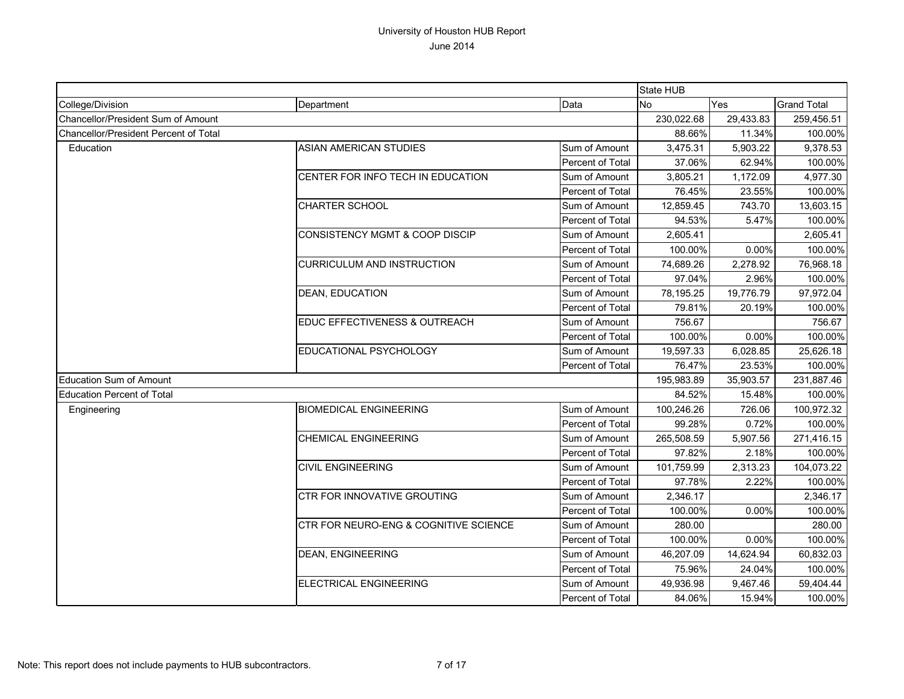|                                       |                                           |                  | State HUB  |           |                    |
|---------------------------------------|-------------------------------------------|------------------|------------|-----------|--------------------|
| College/Division                      | Department                                | Data             | <b>No</b>  | Yes       | <b>Grand Total</b> |
| Chancellor/President Sum of Amount    |                                           |                  | 230,022.68 | 29,433.83 | 259,456.51         |
| Chancellor/President Percent of Total |                                           |                  | 88.66%     | 11.34%    | 100.00%            |
| Education                             | <b>ASIAN AMERICAN STUDIES</b>             | Sum of Amount    | 3,475.31   | 5,903.22  | 9,378.53           |
|                                       |                                           | Percent of Total | 37.06%     | 62.94%    | 100.00%            |
|                                       | CENTER FOR INFO TECH IN EDUCATION         | Sum of Amount    | 3,805.21   | 1,172.09  | 4,977.30           |
|                                       |                                           | Percent of Total | 76.45%     | 23.55%    | 100.00%            |
|                                       | <b>CHARTER SCHOOL</b>                     | Sum of Amount    | 12,859.45  | 743.70    | 13,603.15          |
|                                       |                                           | Percent of Total | 94.53%     | 5.47%     | 100.00%            |
|                                       | <b>CONSISTENCY MGMT &amp; COOP DISCIP</b> | Sum of Amount    | 2,605.41   |           | 2,605.41           |
|                                       |                                           | Percent of Total | 100.00%    | 0.00%     | 100.00%            |
|                                       | <b>CURRICULUM AND INSTRUCTION</b>         | Sum of Amount    | 74,689.26  | 2,278.92  | 76,968.18          |
|                                       |                                           | Percent of Total | 97.04%     | 2.96%     | 100.00%            |
|                                       | <b>DEAN, EDUCATION</b>                    | Sum of Amount    | 78,195.25  | 19,776.79 | 97,972.04          |
|                                       |                                           | Percent of Total | 79.81%     | 20.19%    | 100.00%            |
|                                       | EDUC EFFECTIVENESS & OUTREACH             | Sum of Amount    | 756.67     |           | 756.67             |
|                                       |                                           | Percent of Total | 100.00%    | 0.00%     | 100.00%            |
|                                       | EDUCATIONAL PSYCHOLOGY                    | Sum of Amount    | 19,597.33  | 6,028.85  | 25,626.18          |
|                                       |                                           | Percent of Total | 76.47%     | 23.53%    | 100.00%            |
| <b>Education Sum of Amount</b>        |                                           |                  | 195,983.89 | 35,903.57 | 231,887.46         |
| <b>Education Percent of Total</b>     |                                           |                  | 84.52%     | 15.48%    | 100.00%            |
| Engineering                           | <b>BIOMEDICAL ENGINEERING</b>             | Sum of Amount    | 100,246.26 | 726.06    | 100,972.32         |
|                                       |                                           | Percent of Total | 99.28%     | 0.72%     | 100.00%            |
|                                       | <b>CHEMICAL ENGINEERING</b>               | Sum of Amount    | 265,508.59 | 5,907.56  | 271,416.15         |
|                                       |                                           | Percent of Total | 97.82%     | 2.18%     | 100.00%            |
|                                       | <b>CIVIL ENGINEERING</b>                  | Sum of Amount    | 101,759.99 | 2,313.23  | 104,073.22         |
|                                       |                                           | Percent of Total | 97.78%     | 2.22%     | 100.00%            |
|                                       | CTR FOR INNOVATIVE GROUTING               | Sum of Amount    | 2,346.17   |           | 2,346.17           |
|                                       |                                           | Percent of Total | 100.00%    | 0.00%     | 100.00%            |
|                                       | CTR FOR NEURO-ENG & COGNITIVE SCIENCE     | Sum of Amount    | 280.00     |           | 280.00             |
|                                       |                                           | Percent of Total | 100.00%    | 0.00%     | 100.00%            |
|                                       | <b>DEAN, ENGINEERING</b>                  | Sum of Amount    | 46,207.09  | 14,624.94 | 60,832.03          |
|                                       |                                           | Percent of Total | 75.96%     | 24.04%    | 100.00%            |
|                                       | ELECTRICAL ENGINEERING                    | Sum of Amount    | 49,936.98  | 9,467.46  | 59,404.44          |
|                                       |                                           | Percent of Total | 84.06%     | 15.94%    | 100.00%            |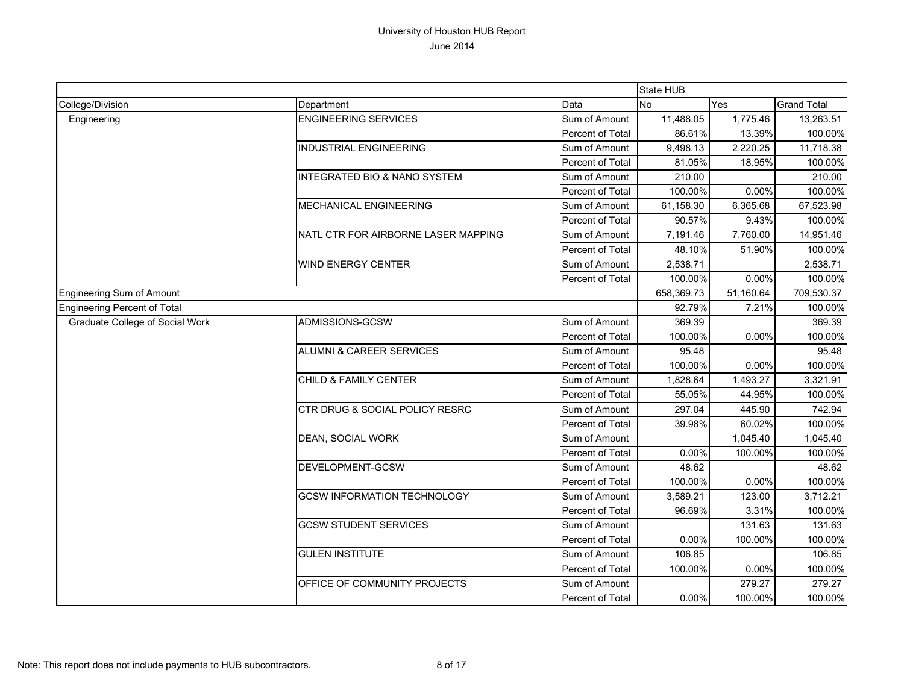|                                 |                                         |                  | State HUB  |           |                    |
|---------------------------------|-----------------------------------------|------------------|------------|-----------|--------------------|
| College/Division                | Department                              | Data             | <b>No</b>  | Yes       | <b>Grand Total</b> |
| Engineering                     | <b>ENGINEERING SERVICES</b>             | Sum of Amount    | 11,488.05  | 1,775.46  | 13,263.51          |
|                                 |                                         | Percent of Total | 86.61%     | 13.39%    | 100.00%            |
|                                 | <b>INDUSTRIAL ENGINEERING</b>           | Sum of Amount    | 9,498.13   | 2,220.25  | 11,718.38          |
|                                 |                                         | Percent of Total | 81.05%     | 18.95%    | 100.00%            |
|                                 | <b>INTEGRATED BIO &amp; NANO SYSTEM</b> | Sum of Amount    | 210.00     |           | 210.00             |
|                                 |                                         | Percent of Total | 100.00%    | 0.00%     | 100.00%            |
|                                 | <b>MECHANICAL ENGINEERING</b>           | Sum of Amount    | 61,158.30  | 6,365.68  | 67,523.98          |
|                                 |                                         | Percent of Total | 90.57%     | 9.43%     | 100.00%            |
|                                 | NATL CTR FOR AIRBORNE LASER MAPPING     | Sum of Amount    | 7,191.46   | 7,760.00  | 14,951.46          |
|                                 |                                         | Percent of Total | 48.10%     | 51.90%    | 100.00%            |
|                                 | WIND ENERGY CENTER                      | Sum of Amount    | 2,538.71   |           | 2,538.71           |
|                                 |                                         | Percent of Total | 100.00%    | 0.00%     | 100.00%            |
| Engineering Sum of Amount       |                                         |                  | 658,369.73 | 51,160.64 | 709,530.37         |
| Engineering Percent of Total    |                                         |                  | 92.79%     | 7.21%     | 100.00%            |
| Graduate College of Social Work | ADMISSIONS-GCSW                         | Sum of Amount    | 369.39     |           | 369.39             |
|                                 |                                         | Percent of Total | 100.00%    | 0.00%     | 100.00%            |
|                                 | <b>ALUMNI &amp; CAREER SERVICES</b>     | Sum of Amount    | 95.48      |           | 95.48              |
|                                 |                                         | Percent of Total | 100.00%    | 0.00%     | 100.00%            |
|                                 | CHILD & FAMILY CENTER                   | Sum of Amount    | 1,828.64   | 1.493.27  | 3,321.91           |
|                                 |                                         | Percent of Total | 55.05%     | 44.95%    | 100.00%            |
|                                 | CTR DRUG & SOCIAL POLICY RESRC          | Sum of Amount    | 297.04     | 445.90    | 742.94             |
|                                 |                                         | Percent of Total | 39.98%     | 60.02%    | 100.00%            |
|                                 | <b>DEAN, SOCIAL WORK</b>                | Sum of Amount    |            | 1,045.40  | 1,045.40           |
|                                 |                                         | Percent of Total | 0.00%      | 100.00%   | 100.00%            |
|                                 | DEVELOPMENT-GCSW                        | Sum of Amount    | 48.62      |           | 48.62              |
|                                 |                                         | Percent of Total | 100.00%    | 0.00%     | 100.00%            |
|                                 | <b>GCSW INFORMATION TECHNOLOGY</b>      | Sum of Amount    | 3,589.21   | 123.00    | 3,712.21           |
|                                 |                                         | Percent of Total | 96.69%     | 3.31%     | 100.00%            |
|                                 | <b>GCSW STUDENT SERVICES</b>            | Sum of Amount    |            | 131.63    | 131.63             |
|                                 |                                         | Percent of Total | 0.00%      | 100.00%   | 100.00%            |
|                                 | <b>GULEN INSTITUTE</b>                  | Sum of Amount    | 106.85     |           | 106.85             |
|                                 |                                         | Percent of Total | 100.00%    | 0.00%     | 100.00%            |
|                                 | OFFICE OF COMMUNITY PROJECTS            | Sum of Amount    |            | 279.27    | 279.27             |
|                                 |                                         | Percent of Total | 0.00%      | 100.00%   | 100.00%            |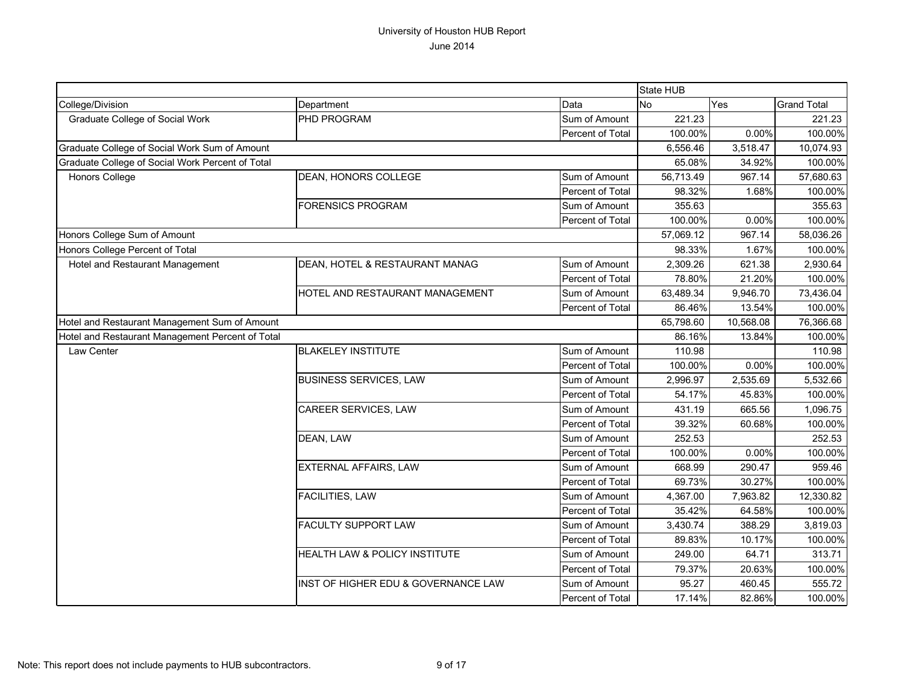|                                                  |                                     |                  | State HUB |           |                    |
|--------------------------------------------------|-------------------------------------|------------------|-----------|-----------|--------------------|
| College/Division                                 | Department                          | Data             | No        | Yes       | <b>Grand Total</b> |
| Graduate College of Social Work                  | PHD PROGRAM                         | Sum of Amount    | 221.23    |           | 221.23             |
|                                                  |                                     | Percent of Total | 100.00%   | 0.00%     | 100.00%            |
| Graduate College of Social Work Sum of Amount    |                                     |                  | 6,556.46  | 3,518.47  | 10,074.93          |
| Graduate College of Social Work Percent of Total |                                     |                  | 65.08%    | 34.92%    | 100.00%            |
| Honors College                                   | DEAN, HONORS COLLEGE                | Sum of Amount    | 56,713.49 | 967.14    | 57,680.63          |
|                                                  |                                     | Percent of Total | 98.32%    | 1.68%     | 100.00%            |
|                                                  | <b>FORENSICS PROGRAM</b>            | Sum of Amount    | 355.63    |           | 355.63             |
|                                                  |                                     | Percent of Total | 100.00%   | 0.00%     | 100.00%            |
| Honors College Sum of Amount                     |                                     |                  | 57,069.12 | 967.14    | 58,036.26          |
| Honors College Percent of Total                  |                                     |                  | 98.33%    | 1.67%     | 100.00%            |
| Hotel and Restaurant Management                  | DEAN, HOTEL & RESTAURANT MANAG      | Sum of Amount    | 2,309.26  | 621.38    | 2,930.64           |
|                                                  |                                     | Percent of Total | 78.80%    | 21.20%    | 100.00%            |
|                                                  | HOTEL AND RESTAURANT MANAGEMENT     | Sum of Amount    | 63,489.34 | 9,946.70  | 73,436.04          |
|                                                  |                                     | Percent of Total | 86.46%    | 13.54%    | 100.00%            |
| Hotel and Restaurant Management Sum of Amount    |                                     |                  | 65,798.60 | 10,568.08 | 76,366.68          |
| Hotel and Restaurant Management Percent of Total |                                     |                  | 86.16%    | 13.84%    | 100.00%            |
| Law Center                                       | <b>BLAKELEY INSTITUTE</b>           | Sum of Amount    | 110.98    |           | 110.98             |
|                                                  |                                     | Percent of Total | 100.00%   | 0.00%     | 100.00%            |
|                                                  | <b>BUSINESS SERVICES, LAW</b>       | Sum of Amount    | 2,996.97  | 2,535.69  | 5,532.66           |
|                                                  |                                     | Percent of Total | 54.17%    | 45.83%    | 100.00%            |
|                                                  | CAREER SERVICES, LAW                | Sum of Amount    | 431.19    | 665.56    | 1,096.75           |
|                                                  |                                     | Percent of Total | 39.32%    | 60.68%    | 100.00%            |
|                                                  | DEAN, LAW                           | Sum of Amount    | 252.53    |           | 252.53             |
|                                                  |                                     | Percent of Total | 100.00%   | 0.00%     | 100.00%            |
|                                                  | <b>EXTERNAL AFFAIRS, LAW</b>        | Sum of Amount    | 668.99    | 290.47    | 959.46             |
|                                                  |                                     | Percent of Total | 69.73%    | 30.27%    | 100.00%            |
|                                                  | <b>FACILITIES, LAW</b>              | Sum of Amount    | 4,367.00  | 7,963.82  | 12,330.82          |
|                                                  |                                     | Percent of Total | 35.42%    | 64.58%    | 100.00%            |
|                                                  | <b>FACULTY SUPPORT LAW</b>          | Sum of Amount    | 3,430.74  | 388.29    | 3,819.03           |
|                                                  |                                     | Percent of Total | 89.83%    | 10.17%    | 100.00%            |
|                                                  | HEALTH LAW & POLICY INSTITUTE       | Sum of Amount    | 249.00    | 64.71     | 313.71             |
|                                                  |                                     | Percent of Total | 79.37%    | 20.63%    | 100.00%            |
|                                                  | INST OF HIGHER EDU & GOVERNANCE LAW | Sum of Amount    | 95.27     | 460.45    | 555.72             |
|                                                  |                                     | Percent of Total | 17.14%    | 82.86%    | 100.00%            |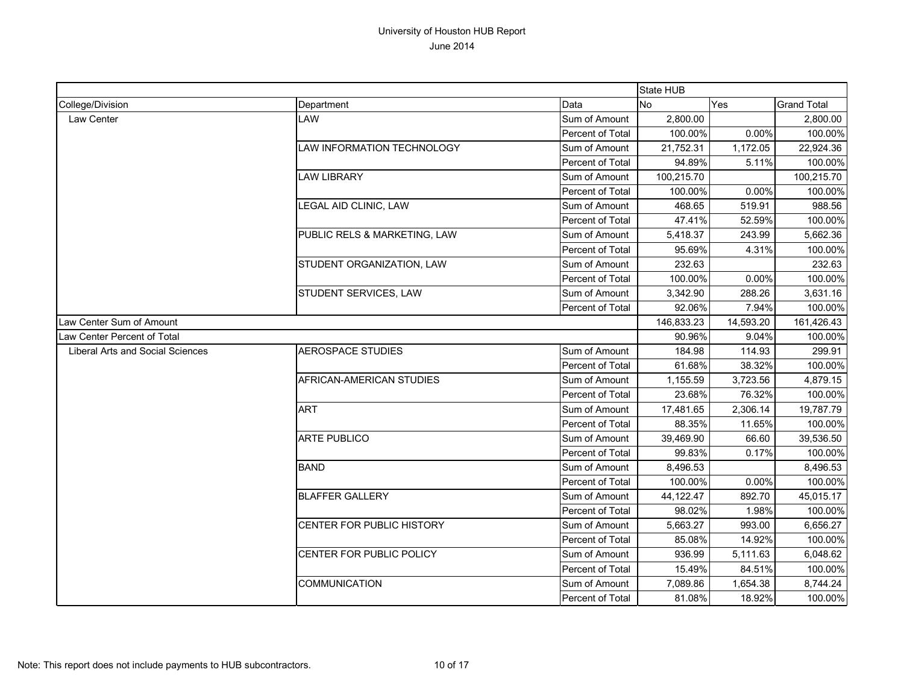|                                  |                              |                  | State HUB  |           |                    |
|----------------------------------|------------------------------|------------------|------------|-----------|--------------------|
| College/Division                 | Department                   | Data             | No         | Yes       | <b>Grand Total</b> |
| Law Center                       | LAW                          | Sum of Amount    | 2,800.00   |           | 2,800.00           |
|                                  |                              | Percent of Total | 100.00%    | 0.00%     | 100.00%            |
|                                  | LAW INFORMATION TECHNOLOGY   | Sum of Amount    | 21,752.31  | 1,172.05  | 22,924.36          |
|                                  |                              | Percent of Total | 94.89%     | 5.11%     | 100.00%            |
|                                  | <b>LAW LIBRARY</b>           | Sum of Amount    | 100,215.70 |           | 100,215.70         |
|                                  |                              | Percent of Total | 100.00%    | 0.00%     | 100.00%            |
|                                  | LEGAL AID CLINIC, LAW        | Sum of Amount    | 468.65     | 519.91    | 988.56             |
|                                  |                              | Percent of Total | 47.41%     | 52.59%    | 100.00%            |
|                                  | PUBLIC RELS & MARKETING, LAW | Sum of Amount    | 5,418.37   | 243.99    | 5,662.36           |
|                                  |                              | Percent of Total | 95.69%     | 4.31%     | 100.00%            |
|                                  | STUDENT ORGANIZATION, LAW    | Sum of Amount    | 232.63     |           | 232.63             |
|                                  |                              | Percent of Total | 100.00%    | 0.00%     | 100.00%            |
|                                  | STUDENT SERVICES, LAW        | Sum of Amount    | 3,342.90   | 288.26    | 3,631.16           |
|                                  |                              | Percent of Total | 92.06%     | 7.94%     | 100.00%            |
| Law Center Sum of Amount         |                              |                  | 146,833.23 | 14,593.20 | 161,426.43         |
| Law Center Percent of Total      |                              |                  | 90.96%     | 9.04%     | 100.00%            |
| Liberal Arts and Social Sciences | <b>AEROSPACE STUDIES</b>     | Sum of Amount    | 184.98     | 114.93    | 299.91             |
|                                  |                              | Percent of Total | 61.68%     | 38.32%    | 100.00%            |
|                                  | AFRICAN-AMERICAN STUDIES     | Sum of Amount    | 1,155.59   | 3,723.56  | 4,879.15           |
|                                  |                              | Percent of Total | 23.68%     | 76.32%    | 100.00%            |
|                                  | <b>ART</b>                   | Sum of Amount    | 17,481.65  | 2,306.14  | 19,787.79          |
|                                  |                              | Percent of Total | 88.35%     | 11.65%    | 100.00%            |
|                                  | <b>ARTE PUBLICO</b>          | Sum of Amount    | 39,469.90  | 66.60     | 39,536.50          |
|                                  |                              | Percent of Total | 99.83%     | 0.17%     | 100.00%            |
|                                  | <b>BAND</b>                  | Sum of Amount    | 8,496.53   |           | 8,496.53           |
|                                  |                              | Percent of Total | 100.00%    | 0.00%     | 100.00%            |
|                                  | <b>BLAFFER GALLERY</b>       | Sum of Amount    | 44,122.47  | 892.70    | 45,015.17          |
|                                  |                              | Percent of Total | 98.02%     | 1.98%     | 100.00%            |
|                                  | CENTER FOR PUBLIC HISTORY    | Sum of Amount    | 5,663.27   | 993.00    | 6,656.27           |
|                                  |                              | Percent of Total | 85.08%     | 14.92%    | 100.00%            |
|                                  | CENTER FOR PUBLIC POLICY     | Sum of Amount    | 936.99     | 5,111.63  | 6,048.62           |
|                                  |                              | Percent of Total | 15.49%     | 84.51%    | 100.00%            |
|                                  | COMMUNICATION                | Sum of Amount    | 7,089.86   | 1,654.38  | 8,744.24           |
|                                  |                              | Percent of Total | 81.08%     | 18.92%    | 100.00%            |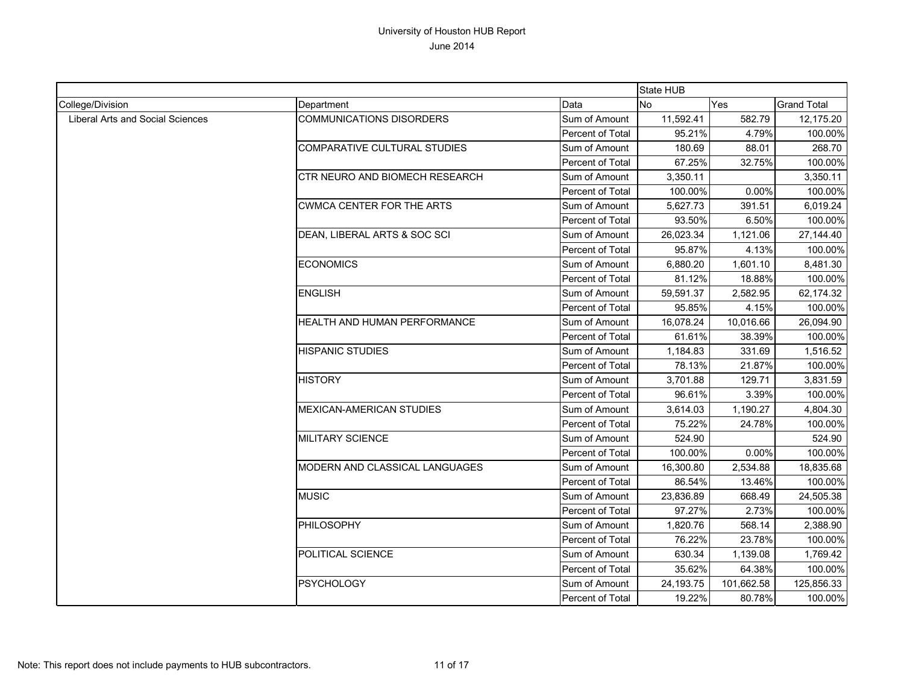|                                         |                                       |                  | State HUB |            |                    |
|-----------------------------------------|---------------------------------------|------------------|-----------|------------|--------------------|
| College/Division                        | Department                            | Data             | No        | Yes        | <b>Grand Total</b> |
| <b>Liberal Arts and Social Sciences</b> | <b>COMMUNICATIONS DISORDERS</b>       | Sum of Amount    | 11,592.41 | 582.79     | 12,175.20          |
|                                         |                                       | Percent of Total | 95.21%    | 4.79%      | 100.00%            |
|                                         | COMPARATIVE CULTURAL STUDIES          | Sum of Amount    | 180.69    | 88.01      | 268.70             |
|                                         |                                       | Percent of Total | 67.25%    | 32.75%     | 100.00%            |
|                                         | <b>CTR NEURO AND BIOMECH RESEARCH</b> | Sum of Amount    | 3,350.11  |            | 3,350.11           |
|                                         |                                       | Percent of Total | 100.00%   | 0.00%      | 100.00%            |
|                                         | <b>CWMCA CENTER FOR THE ARTS</b>      | Sum of Amount    | 5,627.73  | 391.51     | 6,019.24           |
|                                         |                                       | Percent of Total | 93.50%    | 6.50%      | 100.00%            |
|                                         | DEAN, LIBERAL ARTS & SOC SCI          | Sum of Amount    | 26,023.34 | 1,121.06   | 27,144.40          |
|                                         |                                       | Percent of Total | 95.87%    | 4.13%      | 100.00%            |
|                                         | <b>ECONOMICS</b>                      | Sum of Amount    | 6,880.20  | 1,601.10   | 8,481.30           |
|                                         |                                       | Percent of Total | 81.12%    | 18.88%     | 100.00%            |
|                                         | <b>ENGLISH</b>                        | Sum of Amount    | 59,591.37 | 2,582.95   | 62,174.32          |
|                                         |                                       | Percent of Total | 95.85%    | 4.15%      | 100.00%            |
|                                         | HEALTH AND HUMAN PERFORMANCE          | Sum of Amount    | 16,078.24 | 10,016.66  | 26,094.90          |
|                                         |                                       | Percent of Total | 61.61%    | 38.39%     | 100.00%            |
|                                         | <b>HISPANIC STUDIES</b>               | Sum of Amount    | 1,184.83  | 331.69     | 1,516.52           |
|                                         |                                       | Percent of Total | 78.13%    | 21.87%     | 100.00%            |
|                                         | <b>HISTORY</b>                        | Sum of Amount    | 3,701.88  | 129.71     | 3,831.59           |
|                                         |                                       | Percent of Total | 96.61%    | 3.39%      | 100.00%            |
|                                         | MEXICAN-AMERICAN STUDIES              | Sum of Amount    | 3,614.03  | 1,190.27   | 4,804.30           |
|                                         |                                       | Percent of Total | 75.22%    | 24.78%     | 100.00%            |
|                                         | <b>MILITARY SCIENCE</b>               | Sum of Amount    | 524.90    |            | 524.90             |
|                                         |                                       | Percent of Total | 100.00%   | 0.00%      | 100.00%            |
|                                         | MODERN AND CLASSICAL LANGUAGES        | Sum of Amount    | 16,300.80 | 2,534.88   | 18,835.68          |
|                                         |                                       | Percent of Total | 86.54%    | 13.46%     | 100.00%            |
|                                         | <b>MUSIC</b>                          | Sum of Amount    | 23,836.89 | 668.49     | 24,505.38          |
|                                         |                                       | Percent of Total | 97.27%    | 2.73%      | 100.00%            |
|                                         | PHILOSOPHY                            | Sum of Amount    | 1,820.76  | 568.14     | 2,388.90           |
|                                         |                                       | Percent of Total | 76.22%    | 23.78%     | 100.00%            |
|                                         | POLITICAL SCIENCE                     | Sum of Amount    | 630.34    | 1,139.08   | 1,769.42           |
|                                         |                                       | Percent of Total | 35.62%    | 64.38%     | 100.00%            |
|                                         | <b>PSYCHOLOGY</b>                     | Sum of Amount    | 24,193.75 | 101,662.58 | 125,856.33         |
|                                         |                                       | Percent of Total | 19.22%    | 80.78%     | 100.00%            |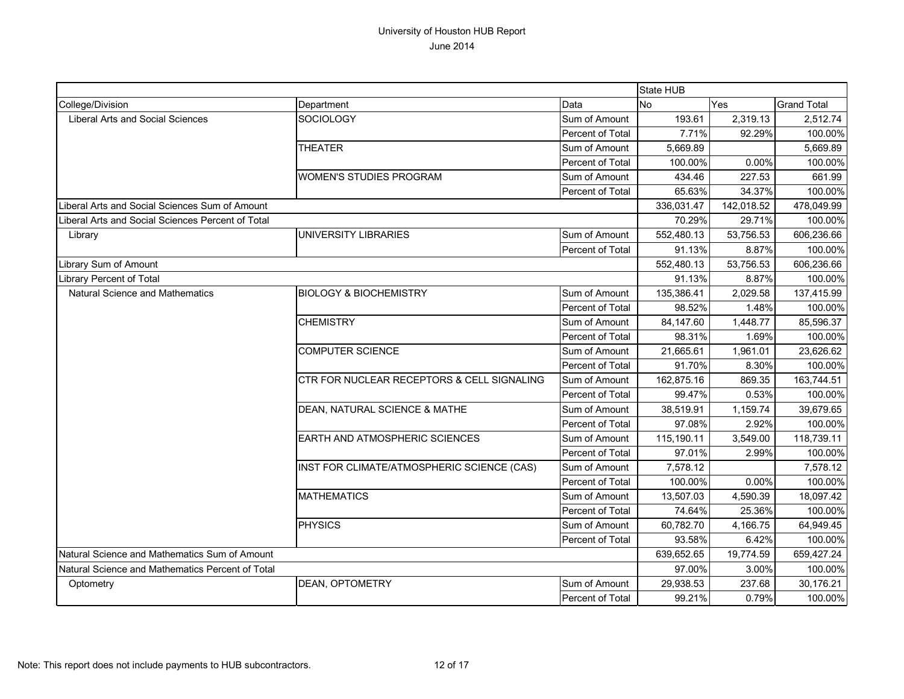|                                                   |                                            |                  | State HUB      |            |                    |
|---------------------------------------------------|--------------------------------------------|------------------|----------------|------------|--------------------|
| College/Division                                  | Department                                 | Data             | N <sub>o</sub> | <b>Yes</b> | <b>Grand Total</b> |
| <b>Liberal Arts and Social Sciences</b>           | <b>SOCIOLOGY</b>                           | Sum of Amount    | 193.61         | 2,319.13   | 2,512.74           |
|                                                   |                                            | Percent of Total | 7.71%          | 92.29%     | 100.00%            |
|                                                   | <b>THEATER</b>                             | Sum of Amount    | 5,669.89       |            | 5,669.89           |
|                                                   |                                            | Percent of Total | 100.00%        | 0.00%      | 100.00%            |
|                                                   | <b>WOMEN'S STUDIES PROGRAM</b>             | Sum of Amount    | 434.46         | 227.53     | 661.99             |
|                                                   |                                            | Percent of Total | 65.63%         | 34.37%     | 100.00%            |
| Liberal Arts and Social Sciences Sum of Amount    |                                            |                  | 336,031.47     | 142,018.52 | 478,049.99         |
| Liberal Arts and Social Sciences Percent of Total |                                            |                  | 70.29%         | 29.71%     | 100.00%            |
| Library                                           | UNIVERSITY LIBRARIES                       | Sum of Amount    | 552,480.13     | 53,756.53  | 606,236.66         |
|                                                   |                                            | Percent of Total | 91.13%         | 8.87%      | 100.00%            |
| Library Sum of Amount                             |                                            |                  | 552,480.13     | 53,756.53  | 606,236.66         |
| <b>Library Percent of Total</b>                   |                                            |                  | 91.13%         | 8.87%      | 100.00%            |
| Natural Science and Mathematics                   | <b>BIOLOGY &amp; BIOCHEMISTRY</b>          | Sum of Amount    | 135,386.41     | 2,029.58   | 137,415.99         |
|                                                   |                                            | Percent of Total | 98.52%         | 1.48%      | 100.00%            |
|                                                   | <b>CHEMISTRY</b>                           | Sum of Amount    | 84,147.60      | 1,448.77   | 85,596.37          |
|                                                   |                                            | Percent of Total | 98.31%         | 1.69%      | 100.00%            |
|                                                   | <b>COMPUTER SCIENCE</b>                    | Sum of Amount    | 21,665.61      | 1,961.01   | 23,626.62          |
|                                                   |                                            | Percent of Total | 91.70%         | 8.30%      | 100.00%            |
|                                                   | CTR FOR NUCLEAR RECEPTORS & CELL SIGNALING | Sum of Amount    | 162,875.16     | 869.35     | 163,744.51         |
|                                                   |                                            | Percent of Total | 99.47%         | 0.53%      | 100.00%            |
|                                                   | DEAN, NATURAL SCIENCE & MATHE              | Sum of Amount    | 38,519.91      | 1,159.74   | 39,679.65          |
|                                                   |                                            | Percent of Total | 97.08%         | 2.92%      | 100.00%            |
|                                                   | <b>EARTH AND ATMOSPHERIC SCIENCES</b>      | Sum of Amount    | 115,190.11     | 3,549.00   | 118,739.11         |
|                                                   |                                            | Percent of Total | 97.01%         | 2.99%      | 100.00%            |
|                                                   | INST FOR CLIMATE/ATMOSPHERIC SCIENCE (CAS) | Sum of Amount    | 7,578.12       |            | 7,578.12           |
|                                                   |                                            | Percent of Total | 100.00%        | 0.00%      | 100.00%            |
|                                                   | <b>MATHEMATICS</b>                         | Sum of Amount    | 13,507.03      | 4,590.39   | 18,097.42          |
|                                                   |                                            | Percent of Total | 74.64%         | 25.36%     | 100.00%            |
|                                                   | <b>PHYSICS</b>                             | Sum of Amount    | 60,782.70      | 4,166.75   | 64,949.45          |
|                                                   |                                            | Percent of Total | 93.58%         | 6.42%      | 100.00%            |
| Natural Science and Mathematics Sum of Amount     |                                            |                  | 639,652.65     | 19,774.59  | 659,427.24         |
| Natural Science and Mathematics Percent of Total  |                                            |                  | 97.00%         | 3.00%      | 100.00%            |
| Optometry                                         | DEAN, OPTOMETRY                            | Sum of Amount    | 29,938.53      | 237.68     | 30,176.21          |
|                                                   |                                            | Percent of Total | 99.21%         | 0.79%      | 100.00%            |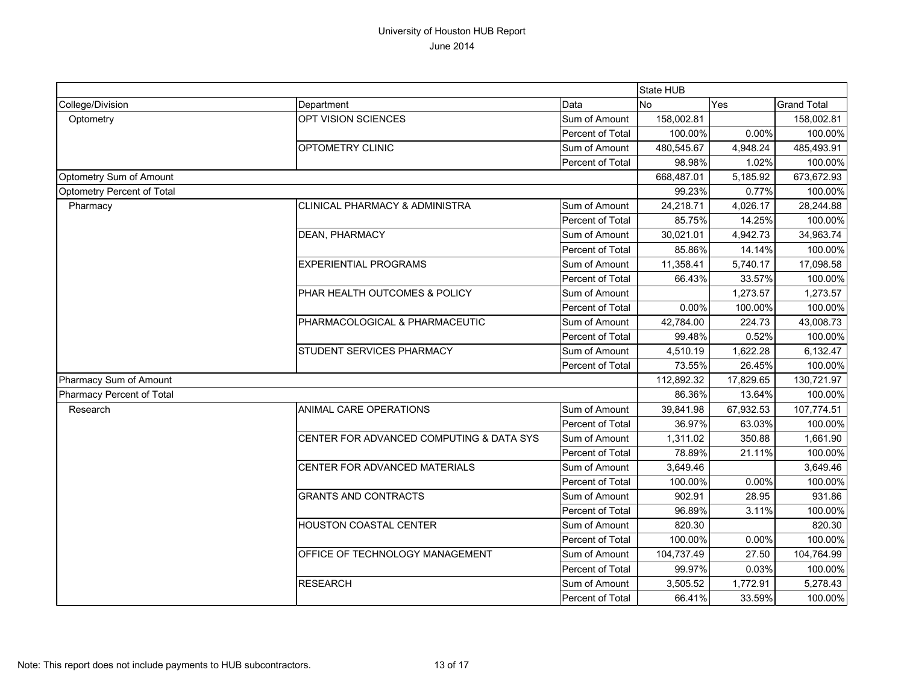|                            |                                           |                  | State HUB  |            |                    |
|----------------------------|-------------------------------------------|------------------|------------|------------|--------------------|
| College/Division           | Department                                | Data             | <b>No</b>  | Yes        | <b>Grand Total</b> |
| Optometry                  | OPT VISION SCIENCES                       | Sum of Amount    | 158,002.81 |            | 158,002.81         |
|                            |                                           | Percent of Total | 100.00%    | 0.00%      | 100.00%            |
|                            | <b>OPTOMETRY CLINIC</b>                   | Sum of Amount    | 480,545.67 | 4,948.24   | 485,493.91         |
|                            |                                           | Percent of Total | 98.98%     | 1.02%      | 100.00%            |
| Optometry Sum of Amount    |                                           |                  | 668,487.01 | 5,185.92   | 673,672.93         |
| Optometry Percent of Total |                                           |                  | 99.23%     | 0.77%      | 100.00%            |
| Pharmacy                   | <b>CLINICAL PHARMACY &amp; ADMINISTRA</b> | Sum of Amount    | 24,218.71  | 4,026.17   | 28,244.88          |
|                            |                                           | Percent of Total | 85.75%     | 14.25%     | 100.00%            |
|                            | <b>DEAN, PHARMACY</b>                     | Sum of Amount    | 30,021.01  | 4,942.73   | 34,963.74          |
|                            |                                           | Percent of Total | 85.86%     | 14.14%     | 100.00%            |
|                            | <b>EXPERIENTIAL PROGRAMS</b>              | Sum of Amount    | 11,358.41  | 5,740.17   | 17,098.58          |
|                            |                                           | Percent of Total | 66.43%     | 33.57%     | 100.00%            |
|                            | PHAR HEALTH OUTCOMES & POLICY             | Sum of Amount    |            | 1,273.57   | 1,273.57           |
|                            |                                           | Percent of Total | 0.00%      | 100.00%    | 100.00%            |
|                            | PHARMACOLOGICAL & PHARMACEUTIC            | Sum of Amount    | 42,784.00  | 224.73     | 43,008.73          |
|                            |                                           | Percent of Total | 99.48%     | 0.52%      | 100.00%            |
|                            | STUDENT SERVICES PHARMACY                 | Sum of Amount    | 4,510.19   | 1,622.28   | 6,132.47           |
|                            |                                           | Percent of Total | 73.55%     | 26.45%     | 100.00%            |
| Pharmacy Sum of Amount     |                                           | 112,892.32       | 17,829.65  | 130,721.97 |                    |
| Pharmacy Percent of Total  |                                           |                  | 86.36%     | 13.64%     | 100.00%            |
| Research                   | ANIMAL CARE OPERATIONS                    | Sum of Amount    | 39,841.98  | 67,932.53  | 107,774.51         |
|                            |                                           | Percent of Total | 36.97%     | 63.03%     | 100.00%            |
|                            | CENTER FOR ADVANCED COMPUTING & DATA SYS  | Sum of Amount    | 1,311.02   | 350.88     | 1,661.90           |
|                            |                                           | Percent of Total | 78.89%     | 21.11%     | 100.00%            |
|                            | CENTER FOR ADVANCED MATERIALS             | Sum of Amount    | 3,649.46   |            | 3,649.46           |
|                            |                                           | Percent of Total | 100.00%    | 0.00%      | 100.00%            |
|                            | <b>GRANTS AND CONTRACTS</b>               | Sum of Amount    | 902.91     | 28.95      | 931.86             |
|                            |                                           | Percent of Total | 96.89%     | 3.11%      | 100.00%            |
|                            | HOUSTON COASTAL CENTER                    | Sum of Amount    | 820.30     |            | 820.30             |
|                            |                                           | Percent of Total | 100.00%    | 0.00%      | 100.00%            |
|                            | OFFICE OF TECHNOLOGY MANAGEMENT           | Sum of Amount    | 104,737.49 | 27.50      | 104,764.99         |
|                            |                                           | Percent of Total | 99.97%     | 0.03%      | 100.00%            |
|                            | <b>RESEARCH</b>                           | Sum of Amount    | 3,505.52   | 1,772.91   | 5,278.43           |
|                            |                                           | Percent of Total | 66.41%     | 33.59%     | 100.00%            |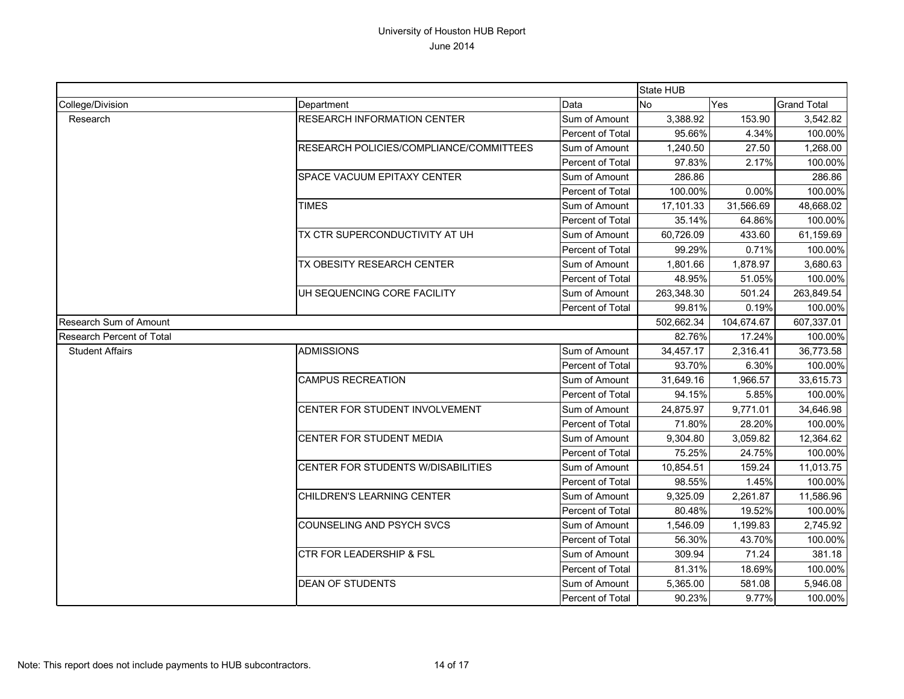|                           |                                           |                  |            | State HUB  |                    |  |
|---------------------------|-------------------------------------------|------------------|------------|------------|--------------------|--|
| College/Division          | Department                                | Data             | No         | Yes        | <b>Grand Total</b> |  |
| Research                  | <b>RESEARCH INFORMATION CENTER</b>        | Sum of Amount    | 3,388.92   | 153.90     | 3,542.82           |  |
|                           |                                           | Percent of Total | 95.66%     | 4.34%      | 100.00%            |  |
|                           | RESEARCH POLICIES/COMPLIANCE/COMMITTEES   | Sum of Amount    | 1,240.50   | 27.50      | 1,268.00           |  |
|                           |                                           | Percent of Total | 97.83%     | 2.17%      | 100.00%            |  |
|                           | SPACE VACUUM EPITAXY CENTER               | Sum of Amount    | 286.86     |            | 286.86             |  |
|                           |                                           | Percent of Total | 100.00%    | 0.00%      | 100.00%            |  |
|                           | <b>TIMES</b>                              | Sum of Amount    | 17,101.33  | 31,566.69  | 48,668.02          |  |
|                           |                                           | Percent of Total | 35.14%     | 64.86%     | 100.00%            |  |
|                           | TX CTR SUPERCONDUCTIVITY AT UH            | Sum of Amount    | 60,726.09  | 433.60     | 61,159.69          |  |
|                           |                                           | Percent of Total | 99.29%     | 0.71%      | 100.00%            |  |
|                           | TX OBESITY RESEARCH CENTER                | Sum of Amount    | 1,801.66   | 1,878.97   | 3,680.63           |  |
|                           |                                           | Percent of Total | 48.95%     | 51.05%     | 100.00%            |  |
|                           | UH SEQUENCING CORE FACILITY               | Sum of Amount    | 263,348.30 | 501.24     | 263,849.54         |  |
|                           |                                           | Percent of Total | 99.81%     | 0.19%      | 100.00%            |  |
| Research Sum of Amount    |                                           | 502,662.34       | 104,674.67 | 607,337.01 |                    |  |
| Research Percent of Total |                                           |                  | 82.76%     | 17.24%     | 100.00%            |  |
| <b>Student Affairs</b>    | <b>ADMISSIONS</b>                         | Sum of Amount    | 34,457.17  | 2,316.41   | 36,773.58          |  |
|                           |                                           | Percent of Total | 93.70%     | 6.30%      | 100.00%            |  |
|                           | <b>CAMPUS RECREATION</b>                  | Sum of Amount    | 31,649.16  | 1,966.57   | 33,615.73          |  |
|                           |                                           | Percent of Total | 94.15%     | 5.85%      | 100.00%            |  |
|                           | CENTER FOR STUDENT INVOLVEMENT            | Sum of Amount    | 24,875.97  | 9,771.01   | 34,646.98          |  |
|                           |                                           | Percent of Total | 71.80%     | 28.20%     | 100.00%            |  |
|                           | CENTER FOR STUDENT MEDIA                  | Sum of Amount    | 9,304.80   | 3,059.82   | 12,364.62          |  |
|                           |                                           | Percent of Total | 75.25%     | 24.75%     | 100.00%            |  |
|                           | <b>CENTER FOR STUDENTS W/DISABILITIES</b> | Sum of Amount    | 10,854.51  | 159.24     | 11,013.75          |  |
|                           |                                           | Percent of Total | 98.55%     | 1.45%      | 100.00%            |  |
|                           | CHILDREN'S LEARNING CENTER                | Sum of Amount    | 9,325.09   | 2,261.87   | 11,586.96          |  |
|                           |                                           | Percent of Total | 80.48%     | 19.52%     | 100.00%            |  |
|                           | COUNSELING AND PSYCH SVCS                 | Sum of Amount    | 1,546.09   | 1,199.83   | 2,745.92           |  |
|                           |                                           | Percent of Total | 56.30%     | 43.70%     | 100.00%            |  |
|                           | CTR FOR LEADERSHIP & FSL                  | Sum of Amount    | 309.94     | 71.24      | 381.18             |  |
|                           |                                           | Percent of Total | 81.31%     | 18.69%     | 100.00%            |  |
|                           | <b>DEAN OF STUDENTS</b>                   | Sum of Amount    | 5,365.00   | 581.08     | 5,946.08           |  |
|                           |                                           | Percent of Total | 90.23%     | 9.77%      | 100.00%            |  |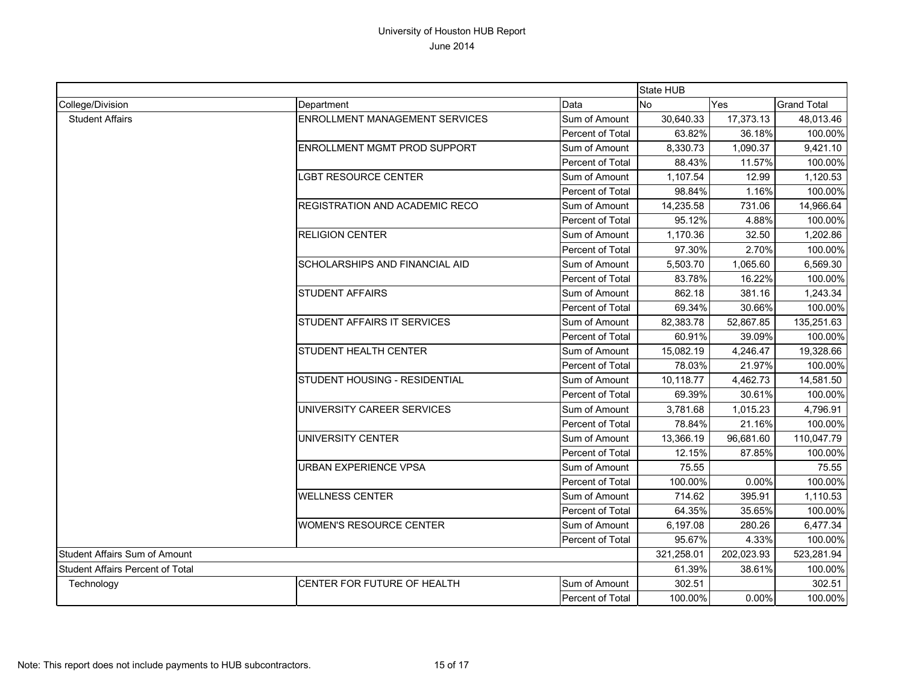|                                         |                                |                            | <b>State HUB</b>                                        |                                  |                                                                                                                                                                                                                                                                                                                                                                                                                                                                    |
|-----------------------------------------|--------------------------------|----------------------------|---------------------------------------------------------|----------------------------------|--------------------------------------------------------------------------------------------------------------------------------------------------------------------------------------------------------------------------------------------------------------------------------------------------------------------------------------------------------------------------------------------------------------------------------------------------------------------|
| College/Division                        | Department                     | Data                       | <b>No</b>                                               | Yes                              | <b>Grand Total</b>                                                                                                                                                                                                                                                                                                                                                                                                                                                 |
| <b>Student Affairs</b>                  | ENROLLMENT MANAGEMENT SERVICES | Sum of Amount              | 30,640.33                                               | 17,373.13                        | 48,013.46                                                                                                                                                                                                                                                                                                                                                                                                                                                          |
|                                         |                                | Percent of Total           | 63.82%                                                  | 36.18%                           |                                                                                                                                                                                                                                                                                                                                                                                                                                                                    |
|                                         | ENROLLMENT MGMT PROD SUPPORT   | Sum of Amount              | 8,330.73                                                | 1,090.37                         | 9,421.10                                                                                                                                                                                                                                                                                                                                                                                                                                                           |
|                                         |                                | Percent of Total           | 88.43%                                                  | 11.57%                           |                                                                                                                                                                                                                                                                                                                                                                                                                                                                    |
|                                         | <b>LGBT RESOURCE CENTER</b>    | Sum of Amount              | 1,107.54                                                | 12.99                            | 1,120.53                                                                                                                                                                                                                                                                                                                                                                                                                                                           |
|                                         |                                | Percent of Total           | 98.84%                                                  | 1.16%                            | 100.00%                                                                                                                                                                                                                                                                                                                                                                                                                                                            |
|                                         | REGISTRATION AND ACADEMIC RECO | Sum of Amount              | 14,235.58                                               | 731.06                           | 14,966.64                                                                                                                                                                                                                                                                                                                                                                                                                                                          |
|                                         |                                | Percent of Total           | 95.12%                                                  | 4.88%                            |                                                                                                                                                                                                                                                                                                                                                                                                                                                                    |
|                                         | <b>RELIGION CENTER</b>         | Sum of Amount              | 1,170.36                                                | 32.50                            | 1,202.86                                                                                                                                                                                                                                                                                                                                                                                                                                                           |
|                                         |                                | Percent of Total           | 97.30%                                                  | 2.70%                            |                                                                                                                                                                                                                                                                                                                                                                                                                                                                    |
|                                         | SCHOLARSHIPS AND FINANCIAL AID | Sum of Amount              | 5,503.70                                                | 1,065.60                         | 6,569.30                                                                                                                                                                                                                                                                                                                                                                                                                                                           |
|                                         |                                | Percent of Total           | 83.78%                                                  | 16.22%                           |                                                                                                                                                                                                                                                                                                                                                                                                                                                                    |
|                                         | <b>STUDENT AFFAIRS</b>         | Sum of Amount              | 862.18                                                  | 381.16                           | 100.00%<br>100.00%<br>100.00%<br>100.00%<br>100.00%<br>1,243.34<br>30.66%<br>100.00%<br>135,251.63<br>100.00%<br>39.09%<br>19,328.66<br>4,246.47<br>100.00%<br>21.97%<br>4,462.73<br>14,581.50<br>30.61%<br>100.00%<br>1,015.23<br>4,796.91<br>21.16%<br>100.00%<br>110,047.79<br>87.85%<br>100.00%<br>75.55<br>0.00%<br>100.00%<br>395.91<br>1,110.53<br>35.65%<br>100.00%<br>6,477.34<br>280.26<br>4.33%<br>100.00%<br>523,281.94<br>38.61%<br>100.00%<br>302.51 |
|                                         |                                | Percent of Total<br>69.34% |                                                         |                                  |                                                                                                                                                                                                                                                                                                                                                                                                                                                                    |
|                                         | STUDENT AFFAIRS IT SERVICES    | Sum of Amount              | 82,383.78<br>52,867.85<br>60.91%<br>15,082.19<br>78.03% |                                  |                                                                                                                                                                                                                                                                                                                                                                                                                                                                    |
|                                         |                                | Percent of Total           |                                                         |                                  |                                                                                                                                                                                                                                                                                                                                                                                                                                                                    |
|                                         | STUDENT HEALTH CENTER          | Sum of Amount              |                                                         |                                  |                                                                                                                                                                                                                                                                                                                                                                                                                                                                    |
|                                         |                                | Percent of Total           |                                                         |                                  |                                                                                                                                                                                                                                                                                                                                                                                                                                                                    |
|                                         | STUDENT HOUSING - RESIDENTIAL  | Sum of Amount              | 10,118.77                                               |                                  |                                                                                                                                                                                                                                                                                                                                                                                                                                                                    |
|                                         |                                | Percent of Total           | 69.39%                                                  |                                  |                                                                                                                                                                                                                                                                                                                                                                                                                                                                    |
|                                         | UNIVERSITY CAREER SERVICES     | Sum of Amount              | 3,781.68                                                |                                  |                                                                                                                                                                                                                                                                                                                                                                                                                                                                    |
|                                         |                                | Percent of Total           | 78.84%                                                  |                                  |                                                                                                                                                                                                                                                                                                                                                                                                                                                                    |
|                                         | UNIVERSITY CENTER              | Sum of Amount              | 13,366.19                                               | 96,681.60<br>202,023.93<br>0.00% |                                                                                                                                                                                                                                                                                                                                                                                                                                                                    |
|                                         |                                | Percent of Total           | 12.15%                                                  |                                  |                                                                                                                                                                                                                                                                                                                                                                                                                                                                    |
|                                         | URBAN EXPERIENCE VPSA          | Sum of Amount              | 75.55                                                   |                                  |                                                                                                                                                                                                                                                                                                                                                                                                                                                                    |
|                                         |                                | Percent of Total           | 100.00%                                                 |                                  |                                                                                                                                                                                                                                                                                                                                                                                                                                                                    |
|                                         | <b>WELLNESS CENTER</b>         | Sum of Amount              | 714.62                                                  |                                  |                                                                                                                                                                                                                                                                                                                                                                                                                                                                    |
|                                         |                                | Percent of Total           | 64.35%                                                  |                                  |                                                                                                                                                                                                                                                                                                                                                                                                                                                                    |
|                                         | <b>WOMEN'S RESOURCE CENTER</b> | Sum of Amount              | 6,197.08                                                |                                  |                                                                                                                                                                                                                                                                                                                                                                                                                                                                    |
|                                         |                                | Percent of Total           | 95.67%                                                  |                                  |                                                                                                                                                                                                                                                                                                                                                                                                                                                                    |
| Student Affairs Sum of Amount           |                                |                            | 321,258.01                                              |                                  |                                                                                                                                                                                                                                                                                                                                                                                                                                                                    |
| <b>Student Affairs Percent of Total</b> |                                |                            | 61.39%                                                  |                                  |                                                                                                                                                                                                                                                                                                                                                                                                                                                                    |
| Technology                              | CENTER FOR FUTURE OF HEALTH    | Sum of Amount              | 302.51                                                  |                                  |                                                                                                                                                                                                                                                                                                                                                                                                                                                                    |
|                                         |                                | <b>Percent of Total</b>    | 100.00%                                                 |                                  | 100.00%                                                                                                                                                                                                                                                                                                                                                                                                                                                            |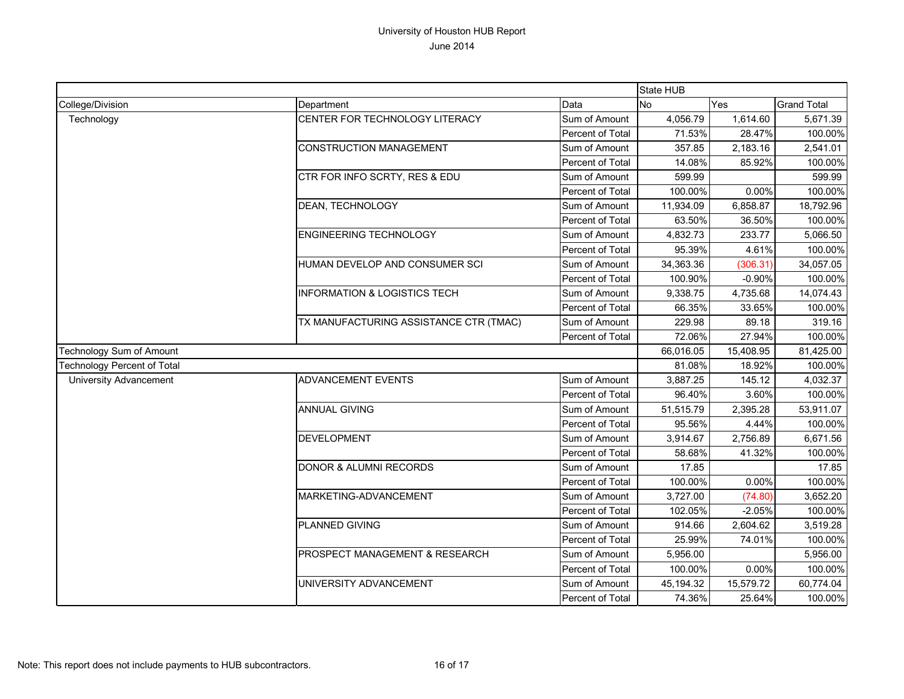|                                    |                                         |                  | State HUB |           |                    |
|------------------------------------|-----------------------------------------|------------------|-----------|-----------|--------------------|
| College/Division                   | Department                              | Data             | <b>No</b> | Yes       | <b>Grand Total</b> |
| Technology                         | CENTER FOR TECHNOLOGY LITERACY          | Sum of Amount    | 4,056.79  | 1,614.60  | 5,671.39           |
|                                    |                                         | Percent of Total | 71.53%    | 28.47%    | 100.00%            |
|                                    | <b>CONSTRUCTION MANAGEMENT</b>          | Sum of Amount    | 357.85    | 2,183.16  | 2,541.01           |
|                                    |                                         | Percent of Total | 14.08%    | 85.92%    | 100.00%            |
|                                    | CTR FOR INFO SCRTY, RES & EDU           | Sum of Amount    | 599.99    |           | 599.99             |
|                                    |                                         | Percent of Total | 100.00%   | 0.00%     | 100.00%            |
|                                    | DEAN, TECHNOLOGY                        | Sum of Amount    | 11,934.09 | 6,858.87  | 18,792.96          |
|                                    |                                         | Percent of Total | 63.50%    | 36.50%    | 100.00%            |
|                                    | <b>ENGINEERING TECHNOLOGY</b>           | Sum of Amount    | 4,832.73  | 233.77    | 5,066.50           |
|                                    |                                         | Percent of Total | 95.39%    | 4.61%     | 100.00%            |
|                                    | HUMAN DEVELOP AND CONSUMER SCI          | Sum of Amount    | 34,363.36 | (306.31)  | 34,057.05          |
|                                    |                                         | Percent of Total | 100.90%   | $-0.90%$  | 100.00%            |
|                                    | <b>INFORMATION &amp; LOGISTICS TECH</b> | Sum of Amount    | 9,338.75  | 4,735.68  | 14,074.43          |
|                                    |                                         | Percent of Total | 66.35%    | 33.65%    | 100.00%            |
|                                    | TX MANUFACTURING ASSISTANCE CTR (TMAC)  | Sum of Amount    | 229.98    | 89.18     | 319.16             |
|                                    |                                         | Percent of Total | 72.06%    | 27.94%    | 100.00%            |
| Technology Sum of Amount           |                                         | 66,016.05        | 15,408.95 | 81,425.00 |                    |
| <b>Technology Percent of Total</b> |                                         |                  | 81.08%    | 18.92%    | 100.00%            |
| <b>University Advancement</b>      | <b>ADVANCEMENT EVENTS</b>               | Sum of Amount    | 3,887.25  | 145.12    | 4,032.37           |
|                                    |                                         | Percent of Total | 96.40%    | 3.60%     | 100.00%            |
|                                    | <b>ANNUAL GIVING</b>                    | Sum of Amount    | 51,515.79 | 2,395.28  | 53,911.07          |
|                                    |                                         | Percent of Total | 95.56%    | 4.44%     | 100.00%            |
|                                    | <b>DEVELOPMENT</b>                      | Sum of Amount    | 3,914.67  | 2,756.89  | 6,671.56           |
|                                    |                                         | Percent of Total | 58.68%    | 41.32%    | 100.00%            |
|                                    | <b>DONOR &amp; ALUMNI RECORDS</b>       | Sum of Amount    | 17.85     |           | 17.85              |
|                                    |                                         | Percent of Total | 100.00%   | 0.00%     | 100.00%            |
|                                    | MARKETING-ADVANCEMENT                   | Sum of Amount    | 3,727.00  | (74.80)   | 3,652.20           |
|                                    |                                         | Percent of Total | 102.05%   | $-2.05%$  | 100.00%            |
|                                    | PLANNED GIVING                          | Sum of Amount    | 914.66    | 2,604.62  | 3,519.28           |
|                                    |                                         | Percent of Total | 25.99%    | 74.01%    | 100.00%            |
|                                    | PROSPECT MANAGEMENT & RESEARCH          | Sum of Amount    | 5,956.00  |           | 5,956.00           |
|                                    |                                         | Percent of Total | 100.00%   | 0.00%     | 100.00%            |
|                                    | UNIVERSITY ADVANCEMENT                  | Sum of Amount    | 45,194.32 | 15,579.72 | 60,774.04          |
|                                    |                                         | Percent of Total | 74.36%    | 25.64%    | 100.00%            |